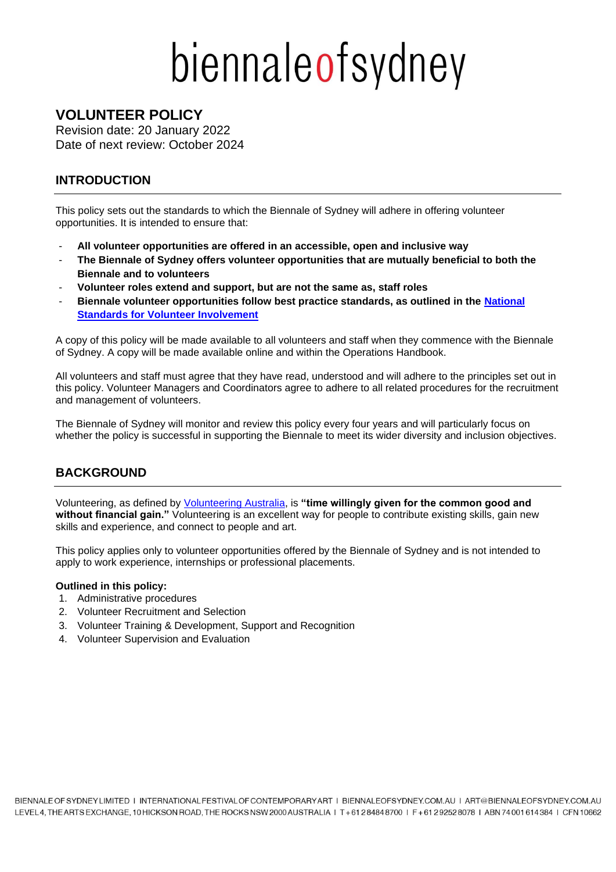# biennaleofsydney

# **VOLUNTEER POLICY**

Revision date: 20 January 2022 Date of next review: October 2024

# **INTRODUCTION**

This policy sets out the standards to which the Biennale of Sydney will adhere in offering volunteer opportunities. It is intended to ensure that:

- **All volunteer opportunities are offered in an accessible, open and inclusive way**
- **The Biennale of Sydney offers volunteer opportunities that are mutually beneficial to both the Biennale and to volunteers**
- **Volunteer roles extend and support, but are not the same as, staff roles**
- **Biennale volunteer opportunities follow best practice standards, as outlined in the [National](https://www.volunteeringaustralia.org/wp-content/uploads/National-Standards-Document-FINAL_Web.pdf)  [Standards for Volunteer Involvement](https://www.volunteeringaustralia.org/wp-content/uploads/National-Standards-Document-FINAL_Web.pdf)**

A copy of this policy will be made available to all volunteers and staff when they commence with the Biennale of Sydney. A copy will be made available online and within the Operations Handbook.

All volunteers and staff must agree that they have read, understood and will adhere to the principles set out in this policy. Volunteer Managers and Coordinators agree to adhere to all related procedures for the recruitment and management of volunteers.

The Biennale of Sydney will monitor and review this policy every four years and will particularly focus on whether the policy is successful in supporting the Biennale to meet its wider diversity and inclusion objectives.

# **BACKGROUND**

Volunteering, as defined by [Volunteering Australia,](https://www.volunteeringaustralia.org/wp-content/uploads/Definition-of-Volunteering-27-July-20151.pdf) is **"time willingly given for the common good and without financial gain."** Volunteering is an excellent way for people to contribute existing skills, gain new skills and experience, and connect to people and art.

This policy applies only to volunteer opportunities offered by the Biennale of Sydney and is not intended to apply to work experience, internships or professional placements.

## **Outlined in this policy:**

- 1. Administrative procedures
- 2. Volunteer Recruitment and Selection
- 3. Volunteer Training & Development, Support and Recognition
- 4. Volunteer Supervision and Evaluation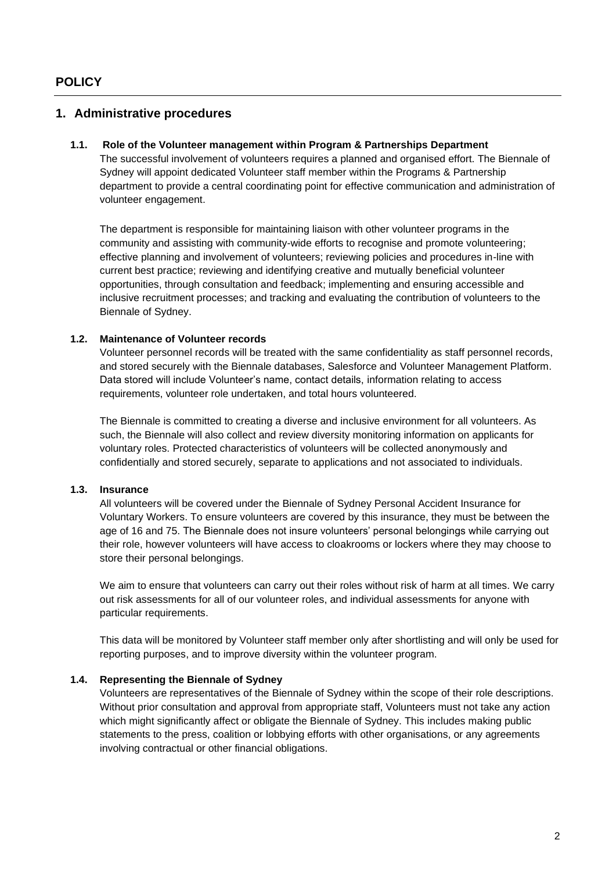## **1. Administrative procedures**

#### **1.1. Role of the Volunteer management within Program & Partnerships Department**

The successful involvement of volunteers requires a planned and organised effort. The Biennale of Sydney will appoint dedicated Volunteer staff member within the Programs & Partnership department to provide a central coordinating point for effective communication and administration of volunteer engagement.

The department is responsible for maintaining liaison with other volunteer programs in the community and assisting with community-wide efforts to recognise and promote volunteering; effective planning and involvement of volunteers; reviewing policies and procedures in-line with current best practice; reviewing and identifying creative and mutually beneficial volunteer opportunities, through consultation and feedback; implementing and ensuring accessible and inclusive recruitment processes; and tracking and evaluating the contribution of volunteers to the Biennale of Sydney.

#### **1.2. Maintenance of Volunteer records**

Volunteer personnel records will be treated with the same confidentiality as staff personnel records, and stored securely with the Biennale databases, Salesforce and Volunteer Management Platform. Data stored will include Volunteer's name, contact details, information relating to access requirements, volunteer role undertaken, and total hours volunteered.

The Biennale is committed to creating a diverse and inclusive environment for all volunteers. As such, the Biennale will also collect and review diversity monitoring information on applicants for voluntary roles. Protected characteristics of volunteers will be collected anonymously and confidentially and stored securely, separate to applications and not associated to individuals.

#### **1.3. Insurance**

All volunteers will be covered under the Biennale of Sydney Personal Accident Insurance for Voluntary Workers. To ensure volunteers are covered by this insurance, they must be between the age of 16 and 75. The Biennale does not insure volunteers' personal belongings while carrying out their role, however volunteers will have access to cloakrooms or lockers where they may choose to store their personal belongings.

We aim to ensure that volunteers can carry out their roles without risk of harm at all times. We carry out risk assessments for all of our volunteer roles, and individual assessments for anyone with particular requirements.

This data will be monitored by Volunteer staff member only after shortlisting and will only be used for reporting purposes, and to improve diversity within the volunteer program.

#### **1.4. Representing the Biennale of Sydney**

Volunteers are representatives of the Biennale of Sydney within the scope of their role descriptions. Without prior consultation and approval from appropriate staff, Volunteers must not take any action which might significantly affect or obligate the Biennale of Sydney. This includes making public statements to the press, coalition or lobbying efforts with other organisations, or any agreements involving contractual or other financial obligations.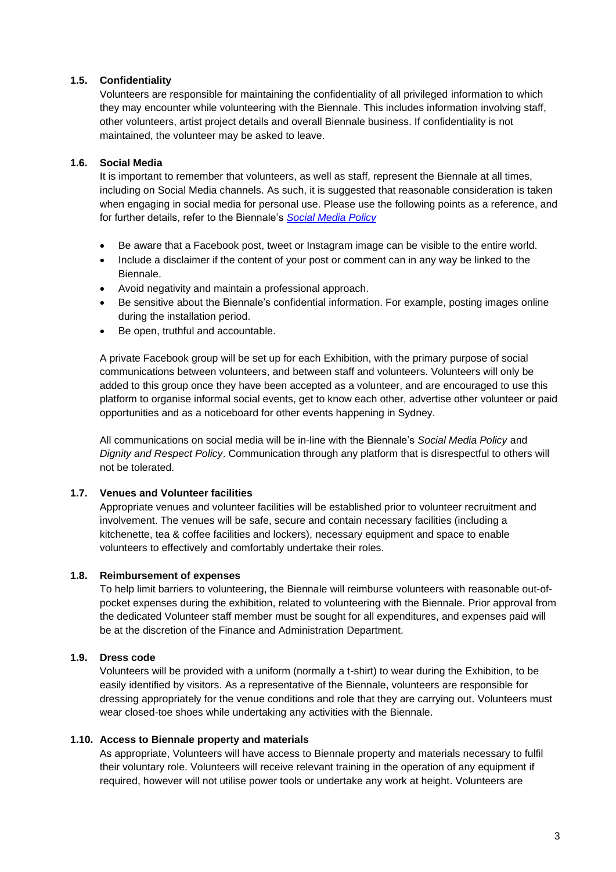#### **1.5. Confidentiality**

Volunteers are responsible for maintaining the confidentiality of all privileged information to which they may encounter while volunteering with the Biennale. This includes information involving staff, other volunteers, artist project details and overall Biennale business. If confidentiality is not maintained, the volunteer may be asked to leave.

### **1.6. Social Media**

It is important to remember that volunteers, as well as staff, represent the Biennale at all times, including on Social Media channels. As such, it is suggested that reasonable consideration is taken when engaging in social media for personal use. Please use the following points as a reference, and for further details, refer to the Biennale's *[Social Media Policy](https://voluntier.team/wp-content/uploads/2022/01/2022-Social-Media-Policy.pdf)*

- Be aware that a Facebook post, tweet or Instagram image can be visible to the entire world.
- Include a disclaimer if the content of your post or comment can in any way be linked to the Biennale.
- Avoid negativity and maintain a professional approach.
- Be sensitive about the Biennale's confidential information. For example, posting images online during the installation period.
- Be open, truthful and accountable.

A private Facebook group will be set up for each Exhibition, with the primary purpose of social communications between volunteers, and between staff and volunteers. Volunteers will only be added to this group once they have been accepted as a volunteer, and are encouraged to use this platform to organise informal social events, get to know each other, advertise other volunteer or paid opportunities and as a noticeboard for other events happening in Sydney.

All communications on social media will be in-line with the Biennale's *Social Media Policy* and *Dignity and Respect Policy*. Communication through any platform that is disrespectful to others will not be tolerated.

#### **1.7. Venues and Volunteer facilities**

Appropriate venues and volunteer facilities will be established prior to volunteer recruitment and involvement. The venues will be safe, secure and contain necessary facilities (including a kitchenette, tea & coffee facilities and lockers), necessary equipment and space to enable volunteers to effectively and comfortably undertake their roles.

#### **1.8. Reimbursement of expenses**

To help limit barriers to volunteering, the Biennale will reimburse volunteers with reasonable out-ofpocket expenses during the exhibition, related to volunteering with the Biennale. Prior approval from the dedicated Volunteer staff member must be sought for all expenditures, and expenses paid will be at the discretion of the Finance and Administration Department.

#### **1.9. Dress code**

Volunteers will be provided with a uniform (normally a t-shirt) to wear during the Exhibition, to be easily identified by visitors. As a representative of the Biennale, volunteers are responsible for dressing appropriately for the venue conditions and role that they are carrying out. Volunteers must wear closed-toe shoes while undertaking any activities with the Biennale.

#### **1.10. Access to Biennale property and materials**

As appropriate, Volunteers will have access to Biennale property and materials necessary to fulfil their voluntary role. Volunteers will receive relevant training in the operation of any equipment if required, however will not utilise power tools or undertake any work at height. Volunteers are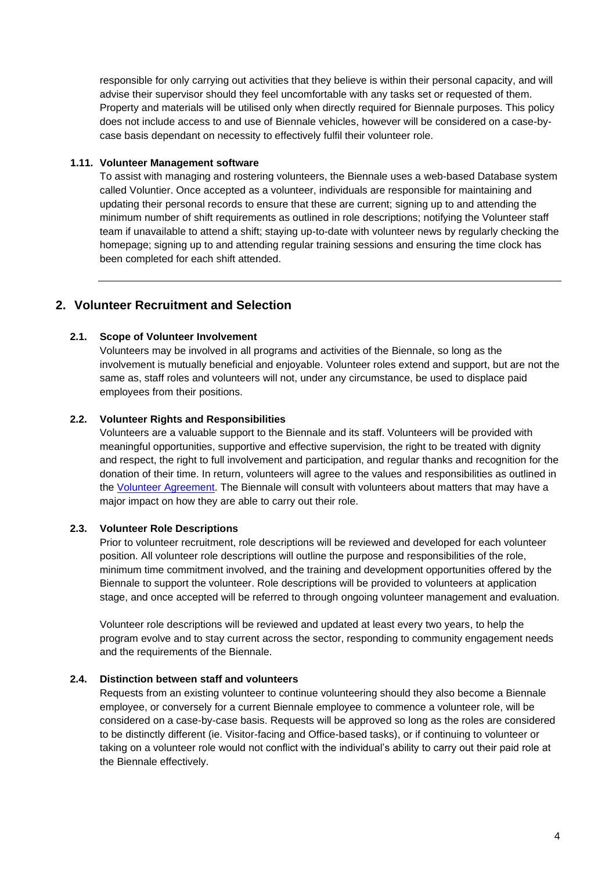responsible for only carrying out activities that they believe is within their personal capacity, and will advise their supervisor should they feel uncomfortable with any tasks set or requested of them. Property and materials will be utilised only when directly required for Biennale purposes. This policy does not include access to and use of Biennale vehicles, however will be considered on a case-bycase basis dependant on necessity to effectively fulfil their volunteer role.

#### **1.11. Volunteer Management software**

To assist with managing and rostering volunteers, the Biennale uses a web-based Database system called Voluntier. Once accepted as a volunteer, individuals are responsible for maintaining and updating their personal records to ensure that these are current; signing up to and attending the minimum number of shift requirements as outlined in role descriptions; notifying the Volunteer staff team if unavailable to attend a shift; staying up-to-date with volunteer news by regularly checking the homepage; signing up to and attending regular training sessions and ensuring the time clock has been completed for each shift attended.

# **2. Volunteer Recruitment and Selection**

#### **2.1. Scope of Volunteer Involvement**

Volunteers may be involved in all programs and activities of the Biennale, so long as the involvement is mutually beneficial and enjoyable. Volunteer roles extend and support, but are not the same as, staff roles and volunteers will not, under any circumstance, be used to displace paid employees from their positions.

#### **2.2. Volunteer Rights and Responsibilities**

Volunteers are a valuable support to the Biennale and its staff. Volunteers will be provided with meaningful opportunities, supportive and effective supervision, the right to be treated with dignity and respect, the right to full involvement and participation, and regular thanks and recognition for the donation of their time. In return, volunteers will agree to the values and responsibilities as outlined in the [Volunteer Agreement.](https://voluntier.team/wp-content/uploads/2022/01/2022-Volunteer-Agreement.pdf) The Biennale will consult with volunteers about matters that may have a major impact on how they are able to carry out their role.

#### **2.3. Volunteer Role Descriptions**

Prior to volunteer recruitment, role descriptions will be reviewed and developed for each volunteer position. All volunteer role descriptions will outline the purpose and responsibilities of the role, minimum time commitment involved, and the training and development opportunities offered by the Biennale to support the volunteer. Role descriptions will be provided to volunteers at application stage, and once accepted will be referred to through ongoing volunteer management and evaluation.

Volunteer role descriptions will be reviewed and updated at least every two years, to help the program evolve and to stay current across the sector, responding to community engagement needs and the requirements of the Biennale.

#### **2.4. Distinction between staff and volunteers**

Requests from an existing volunteer to continue volunteering should they also become a Biennale employee, or conversely for a current Biennale employee to commence a volunteer role, will be considered on a case-by-case basis. Requests will be approved so long as the roles are considered to be distinctly different (ie. Visitor-facing and Office-based tasks), or if continuing to volunteer or taking on a volunteer role would not conflict with the individual's ability to carry out their paid role at the Biennale effectively.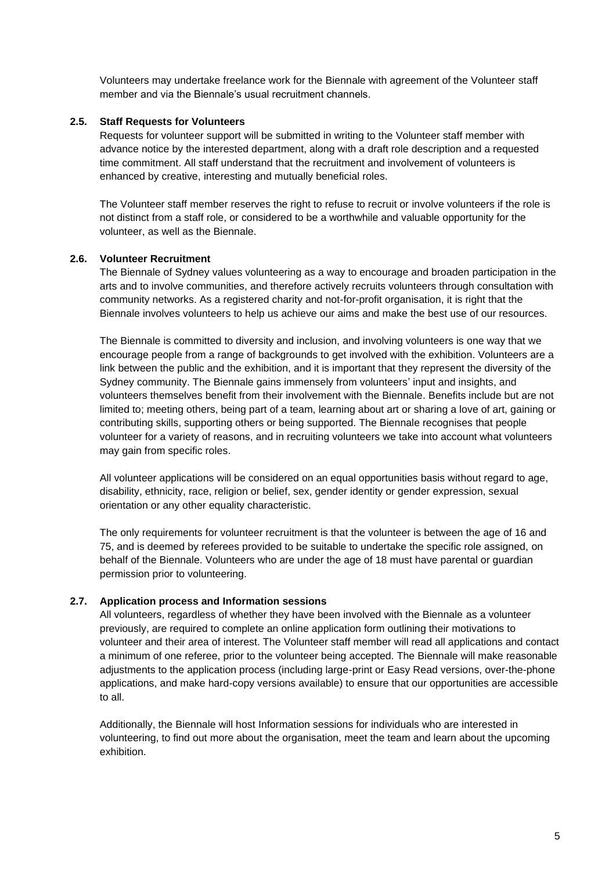Volunteers may undertake freelance work for the Biennale with agreement of the Volunteer staff member and via the Biennale's usual recruitment channels.

#### **2.5. Staff Requests for Volunteers**

Requests for volunteer support will be submitted in writing to the Volunteer staff member with advance notice by the interested department, along with a draft role description and a requested time commitment. All staff understand that the recruitment and involvement of volunteers is enhanced by creative, interesting and mutually beneficial roles.

The Volunteer staff member reserves the right to refuse to recruit or involve volunteers if the role is not distinct from a staff role, or considered to be a worthwhile and valuable opportunity for the volunteer, as well as the Biennale.

#### **2.6. Volunteer Recruitment**

The Biennale of Sydney values volunteering as a way to encourage and broaden participation in the arts and to involve communities, and therefore actively recruits volunteers through consultation with community networks. As a registered charity and not-for-profit organisation, it is right that the Biennale involves volunteers to help us achieve our aims and make the best use of our resources.

The Biennale is committed to diversity and inclusion, and involving volunteers is one way that we encourage people from a range of backgrounds to get involved with the exhibition. Volunteers are a link between the public and the exhibition, and it is important that they represent the diversity of the Sydney community. The Biennale gains immensely from volunteers' input and insights, and volunteers themselves benefit from their involvement with the Biennale. Benefits include but are not limited to; meeting others, being part of a team, learning about art or sharing a love of art, gaining or contributing skills, supporting others or being supported. The Biennale recognises that people volunteer for a variety of reasons, and in recruiting volunteers we take into account what volunteers may gain from specific roles.

All volunteer applications will be considered on an equal opportunities basis without regard to age, disability, ethnicity, race, religion or belief, sex, gender identity or gender expression, sexual orientation or any other equality characteristic.

The only requirements for volunteer recruitment is that the volunteer is between the age of 16 and 75, and is deemed by referees provided to be suitable to undertake the specific role assigned, on behalf of the Biennale. Volunteers who are under the age of 18 must have parental or guardian permission prior to volunteering.

#### **2.7. Application process and Information sessions**

All volunteers, regardless of whether they have been involved with the Biennale as a volunteer previously, are required to complete an online application form outlining their motivations to volunteer and their area of interest. The Volunteer staff member will read all applications and contact a minimum of one referee, prior to the volunteer being accepted. The Biennale will make reasonable adjustments to the application process (including large-print or Easy Read versions, over-the-phone applications, and make hard-copy versions available) to ensure that our opportunities are accessible to all.

Additionally, the Biennale will host Information sessions for individuals who are interested in volunteering, to find out more about the organisation, meet the team and learn about the upcoming exhibition.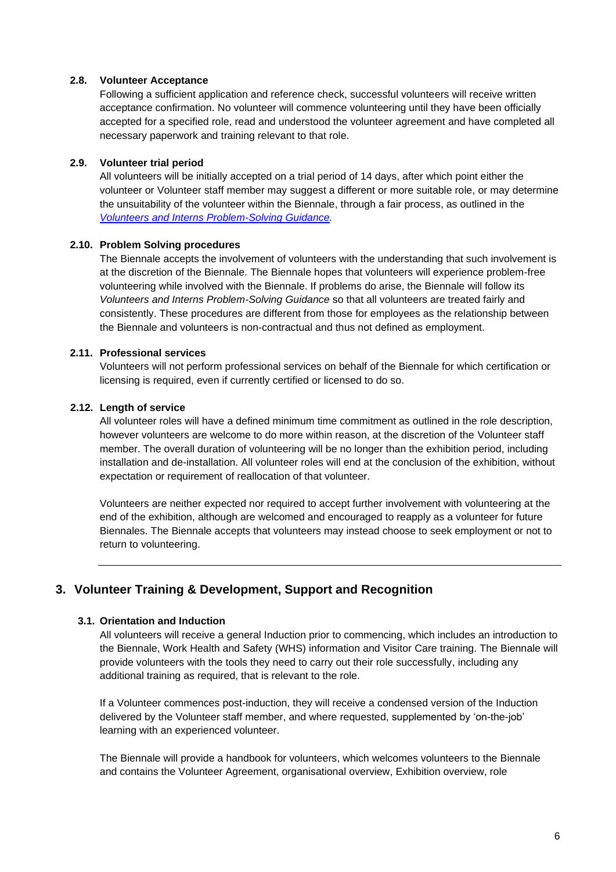#### **2.8. Volunteer Acceptance**

Following a sufficient application and reference check, successful volunteers will receive written acceptance confirmation. No volunteer will commence volunteering until they have been officially accepted for a specified role, read and understood the volunteer agreement and have completed all necessary paperwork and training relevant to that role.

#### **2.9. Volunteer trial period**

All volunteers will be initially accepted on a trial period of 14 days, after which point either the volunteer or Volunteer staff member may suggest a different or more suitable role, or may determine the unsuitability of the volunteer within the Biennale, through a fair process, as outlined in the *[Volunteers and Interns Problem-Solving Guidance.](https://voluntier.team/wp-content/uploads/2022/01/Volunteers-and-Interns-Problem-Solving-Guidelines.pdf)*

#### **2.10. Problem Solving procedures**

The Biennale accepts the involvement of volunteers with the understanding that such involvement is at the discretion of the Biennale. The Biennale hopes that volunteers will experience problem-free volunteering while involved with the Biennale. If problems do arise, the Biennale will follow its *Volunteers and Interns Problem-Solving Guidance* so that all volunteers are treated fairly and consistently. These procedures are different from those for employees as the relationship between the Biennale and volunteers is non-contractual and thus not defined as employment.

#### **2.11. Professional services**

Volunteers will not perform professional services on behalf of the Biennale for which certification or licensing is required, even if currently certified or licensed to do so.

#### **2.12. Length of service**

All volunteer roles will have a defined minimum time commitment as outlined in the role description, however volunteers are welcome to do more within reason, at the discretion of the Volunteer staff member. The overall duration of volunteering will be no longer than the exhibition period, including installation and de-installation. All volunteer roles will end at the conclusion of the exhibition, without expectation or requirement of reallocation of that volunteer.

Volunteers are neither expected nor required to accept further involvement with volunteering at the end of the exhibition, although are welcomed and encouraged to reapply as a volunteer for future Biennales. The Biennale accepts that volunteers may instead choose to seek employment or not to return to volunteering.

# **3. Volunteer Training & Development, Support and Recognition**

#### **3.1. Orientation and Induction**

All volunteers will receive a general Induction prior to commencing, which includes an introduction to the Biennale, Work Health and Safety (WHS) information and Visitor Care training. The Biennale will provide volunteers with the tools they need to carry out their role successfully, including any additional training as required, that is relevant to the role.

If a Volunteer commences post-induction, they will receive a condensed version of the Induction delivered by the Volunteer staff member, and where requested, supplemented by 'on-the-job' learning with an experienced volunteer.

The Biennale will provide a handbook for volunteers, which welcomes volunteers to the Biennale and contains the Volunteer Agreement, organisational overview, Exhibition overview, role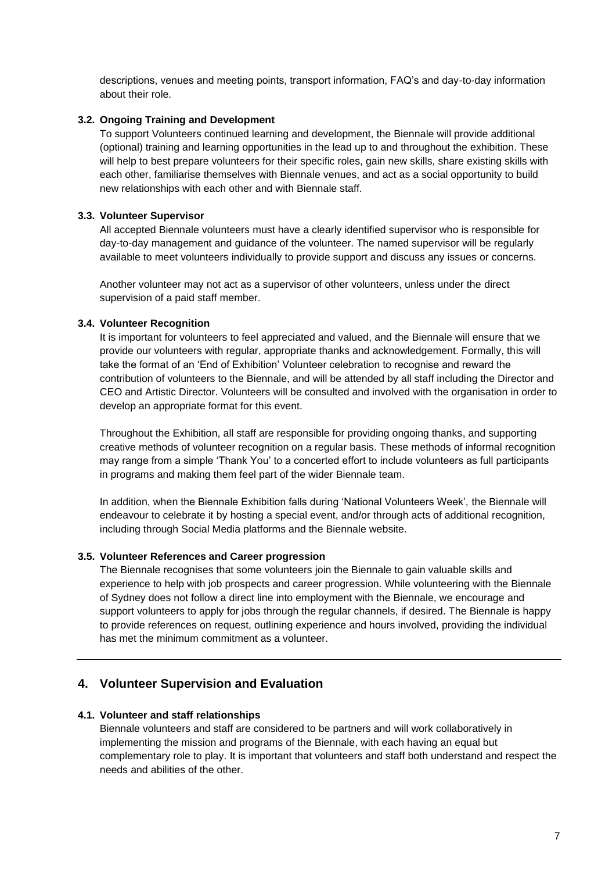descriptions, venues and meeting points, transport information, FAQ's and day-to-day information about their role.

#### **3.2. Ongoing Training and Development**

To support Volunteers continued learning and development, the Biennale will provide additional (optional) training and learning opportunities in the lead up to and throughout the exhibition. These will help to best prepare volunteers for their specific roles, gain new skills, share existing skills with each other, familiarise themselves with Biennale venues, and act as a social opportunity to build new relationships with each other and with Biennale staff.

#### **3.3. Volunteer Supervisor**

All accepted Biennale volunteers must have a clearly identified supervisor who is responsible for day-to-day management and guidance of the volunteer. The named supervisor will be regularly available to meet volunteers individually to provide support and discuss any issues or concerns.

Another volunteer may not act as a supervisor of other volunteers, unless under the direct supervision of a paid staff member.

#### **3.4. Volunteer Recognition**

It is important for volunteers to feel appreciated and valued, and the Biennale will ensure that we provide our volunteers with regular, appropriate thanks and acknowledgement. Formally, this will take the format of an 'End of Exhibition' Volunteer celebration to recognise and reward the contribution of volunteers to the Biennale, and will be attended by all staff including the Director and CEO and Artistic Director. Volunteers will be consulted and involved with the organisation in order to develop an appropriate format for this event.

Throughout the Exhibition, all staff are responsible for providing ongoing thanks, and supporting creative methods of volunteer recognition on a regular basis. These methods of informal recognition may range from a simple 'Thank You' to a concerted effort to include volunteers as full participants in programs and making them feel part of the wider Biennale team.

In addition, when the Biennale Exhibition falls during 'National Volunteers Week', the Biennale will endeavour to celebrate it by hosting a special event, and/or through acts of additional recognition, including through Social Media platforms and the Biennale website.

#### **3.5. Volunteer References and Career progression**

The Biennale recognises that some volunteers join the Biennale to gain valuable skills and experience to help with job prospects and career progression. While volunteering with the Biennale of Sydney does not follow a direct line into employment with the Biennale, we encourage and support volunteers to apply for jobs through the regular channels, if desired. The Biennale is happy to provide references on request, outlining experience and hours involved, providing the individual has met the minimum commitment as a volunteer.

## **4. Volunteer Supervision and Evaluation**

#### **4.1. Volunteer and staff relationships**

Biennale volunteers and staff are considered to be partners and will work collaboratively in implementing the mission and programs of the Biennale, with each having an equal but complementary role to play. It is important that volunteers and staff both understand and respect the needs and abilities of the other.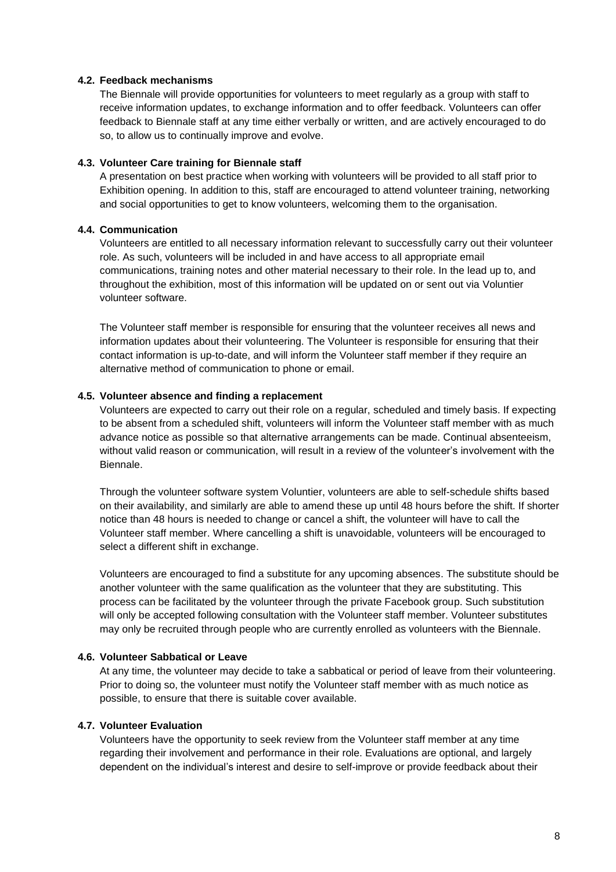#### **4.2. Feedback mechanisms**

The Biennale will provide opportunities for volunteers to meet regularly as a group with staff to receive information updates, to exchange information and to offer feedback. Volunteers can offer feedback to Biennale staff at any time either verbally or written, and are actively encouraged to do so, to allow us to continually improve and evolve.

#### **4.3. Volunteer Care training for Biennale staff**

A presentation on best practice when working with volunteers will be provided to all staff prior to Exhibition opening. In addition to this, staff are encouraged to attend volunteer training, networking and social opportunities to get to know volunteers, welcoming them to the organisation.

#### **4.4. Communication**

Volunteers are entitled to all necessary information relevant to successfully carry out their volunteer role. As such, volunteers will be included in and have access to all appropriate email communications, training notes and other material necessary to their role. In the lead up to, and throughout the exhibition, most of this information will be updated on or sent out via Voluntier volunteer software.

The Volunteer staff member is responsible for ensuring that the volunteer receives all news and information updates about their volunteering. The Volunteer is responsible for ensuring that their contact information is up-to-date, and will inform the Volunteer staff member if they require an alternative method of communication to phone or email.

#### **4.5. Volunteer absence and finding a replacement**

Volunteers are expected to carry out their role on a regular, scheduled and timely basis. If expecting to be absent from a scheduled shift, volunteers will inform the Volunteer staff member with as much advance notice as possible so that alternative arrangements can be made. Continual absenteeism, without valid reason or communication, will result in a review of the volunteer's involvement with the Biennale.

Through the volunteer software system Voluntier, volunteers are able to self-schedule shifts based on their availability, and similarly are able to amend these up until 48 hours before the shift. If shorter notice than 48 hours is needed to change or cancel a shift, the volunteer will have to call the Volunteer staff member. Where cancelling a shift is unavoidable, volunteers will be encouraged to select a different shift in exchange.

Volunteers are encouraged to find a substitute for any upcoming absences. The substitute should be another volunteer with the same qualification as the volunteer that they are substituting. This process can be facilitated by the volunteer through the private Facebook group. Such substitution will only be accepted following consultation with the Volunteer staff member. Volunteer substitutes may only be recruited through people who are currently enrolled as volunteers with the Biennale.

#### **4.6. Volunteer Sabbatical or Leave**

At any time, the volunteer may decide to take a sabbatical or period of leave from their volunteering. Prior to doing so, the volunteer must notify the Volunteer staff member with as much notice as possible, to ensure that there is suitable cover available.

#### **4.7. Volunteer Evaluation**

Volunteers have the opportunity to seek review from the Volunteer staff member at any time regarding their involvement and performance in their role. Evaluations are optional, and largely dependent on the individual's interest and desire to self-improve or provide feedback about their